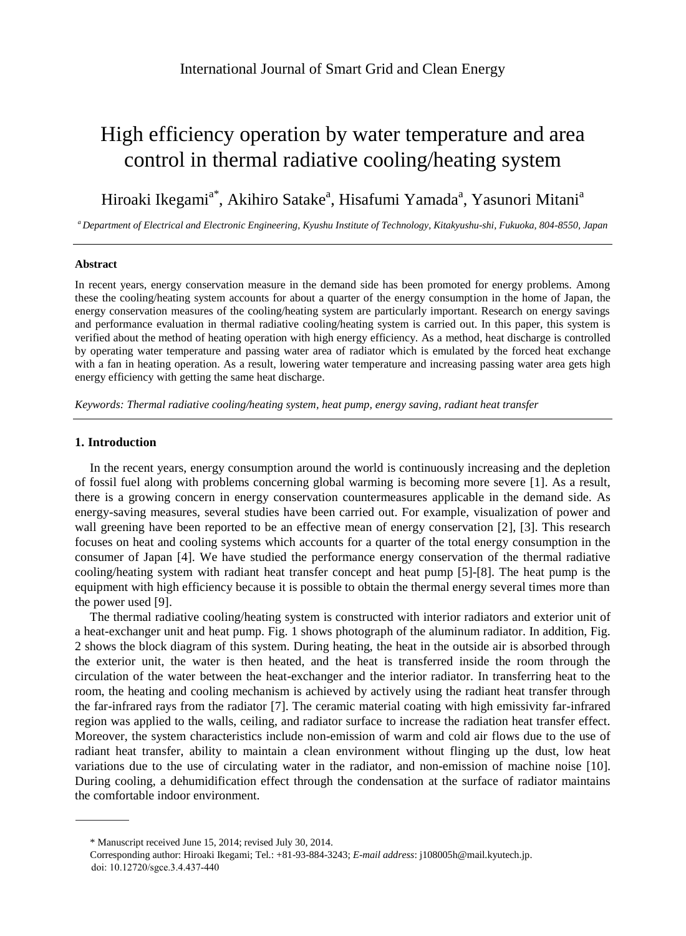# High efficiency operation by water temperature and area control in thermal radiative cooling/heating system

Hiroaki Ikegami<sup>a\*</sup>, Akihiro Satake<sup>a</sup>, Hisafumi Yamada<sup>a</sup>, Yasunori Mitani<sup>a</sup>

*<sup>a</sup> Department of Electrical and Electronic Engineering, Kyushu Institute of Technology, Kitakyushu-shi, Fukuoka, 804-8550, Japan*

## **Abstract**

In recent years, energy conservation measure in the demand side has been promoted for energy problems. Among these the cooling/heating system accounts for about a quarter of the energy consumption in the home of Japan, the energy conservation measures of the cooling/heating system are particularly important. Research on energy savings and performance evaluation in thermal radiative cooling/heating system is carried out. In this paper, this system is verified about the method of heating operation with high energy efficiency. As a method, heat discharge is controlled by operating water temperature and passing water area of radiator which is emulated by the forced heat exchange with a fan in heating operation. As a result, lowering water temperature and increasing passing water area gets high energy efficiency with getting the same heat discharge.

*Keywords: Thermal radiative cooling/heating system, heat pump, energy saving, radiant heat transfer*

## **1. Introduction**

In the recent years, energy consumption around the world is continuously increasing and the depletion of fossil fuel along with problems concerning global warming is becoming more severe [1]. As a result, there is a growing concern in energy conservation countermeasures applicable in the demand side. As energy-saving measures, several studies have been carried out. For example, visualization of power and wall greening have been reported to be an effective mean of energy conservation [2], [3]. This research focuses on heat and cooling systems which accounts for a quarter of the total energy consumption in the consumer of Japan [4]. We have studied the performance energy conservation of the thermal radiative cooling/heating system with radiant heat transfer concept and heat pump [5]-[8]. The heat pump is the equipment with high efficiency because it is possible to obtain the thermal energy several times more than the power used [9].

The thermal radiative cooling/heating system is constructed with interior radiators and exterior unit of a heat-exchanger unit and heat pump. Fig. 1 shows photograph of the aluminum radiator. In addition, Fig. 2 shows the block diagram of this system. During heating, the heat in the outside air is absorbed through the exterior unit, the water is then heated, and the heat is transferred inside the room through the circulation of the water between the heat-exchanger and the interior radiator. In transferring heat to the room, the heating and cooling mechanism is achieved by actively using the radiant heat transfer through the far-infrared rays from the radiator [7]. The ceramic material coating with high emissivity far-infrared region was applied to the walls, ceiling, and radiator surface to increase the radiation heat transfer effect. Moreover, the system characteristics include non-emission of warm and cold air flows due to the use of radiant heat transfer, ability to maintain a clean environment without flinging up the dust, low heat variations due to the use of circulating water in the radiator, and non-emission of machine noise [10]. During cooling, a dehumidification effect through the condensation at the surface of radiator maintains the comfortable indoor environment.

<sup>\*</sup> Manuscript received June 15, 2014; revised July 30, 2014.

Corresponding author: Hiroaki Ikegami; Tel.: +81-93-884-3243; *E-mail address*: j108005h@mail.kyutech.jp. doi: 10.12720/sgce.3.4.437-440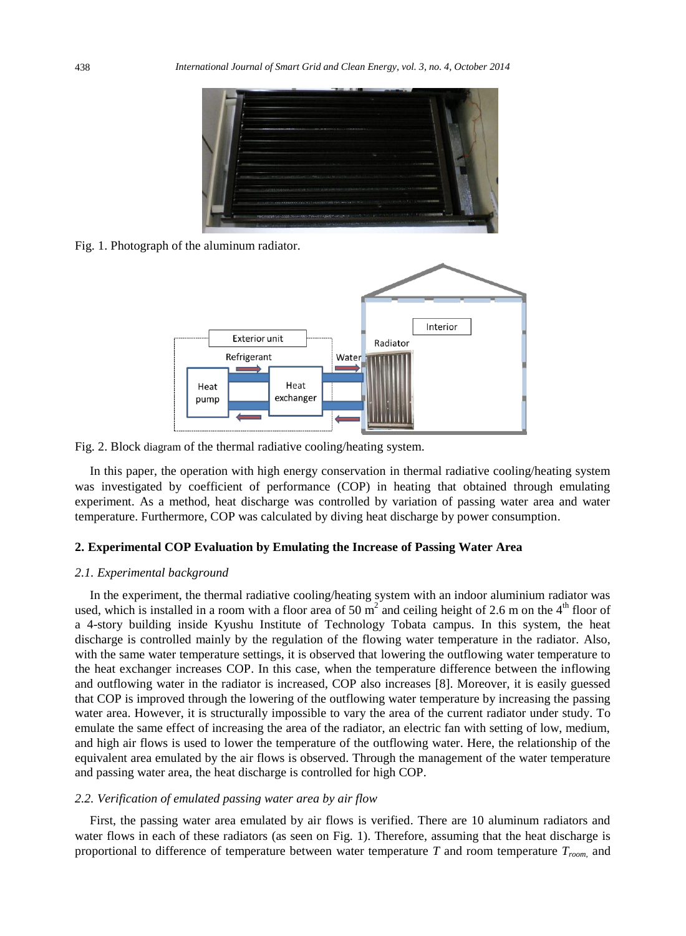

Fig. 1. Photograph of the aluminum radiator.



Fig. 2. Block diagram of the thermal radiative cooling/heating system.

In this paper, the operation with high energy conservation in thermal radiative cooling/heating system was investigated by coefficient of performance (COP) in heating that obtained through emulating experiment. As a method, heat discharge was controlled by variation of passing water area and water temperature. Furthermore, COP was calculated by diving heat discharge by power consumption.

# **2. Experimental COP Evaluation by Emulating the Increase of Passing Water Area**

## *2.1. Experimental background*

In the experiment, the thermal radiative cooling/heating system with an indoor aluminium radiator was used, which is installed in a room with a floor area of 50  $m^2$  and ceiling height of 2.6 m on the 4<sup>th</sup> floor of a 4-story building inside Kyushu Institute of Technology Tobata campus. In this system, the heat discharge is controlled mainly by the regulation of the flowing water temperature in the radiator. Also, with the same water temperature settings, it is observed that lowering the outflowing water temperature to the heat exchanger increases COP. In this case, when the temperature difference between the inflowing and outflowing water in the radiator is increased, COP also increases [8]. Moreover, it is easily guessed that COP is improved through the lowering of the outflowing water temperature by increasing the passing water area. However, it is structurally impossible to vary the area of the current radiator under study. To emulate the same effect of increasing the area of the radiator, an electric fan with setting of low, medium, and high air flows is used to lower the temperature of the outflowing water. Here, the relationship of the equivalent area emulated by the air flows is observed. Through the management of the water temperature and passing water area, the heat discharge is controlled for high COP.

## *2.2. Verification of emulated passing water area by air flow*

First, the passing water area emulated by air flows is verified. There are 10 aluminum radiators and water flows in each of these radiators (as seen on Fig. 1). Therefore, assuming that the heat discharge is proportional to difference of temperature between water temperature *T* and room temperature *Troom*, and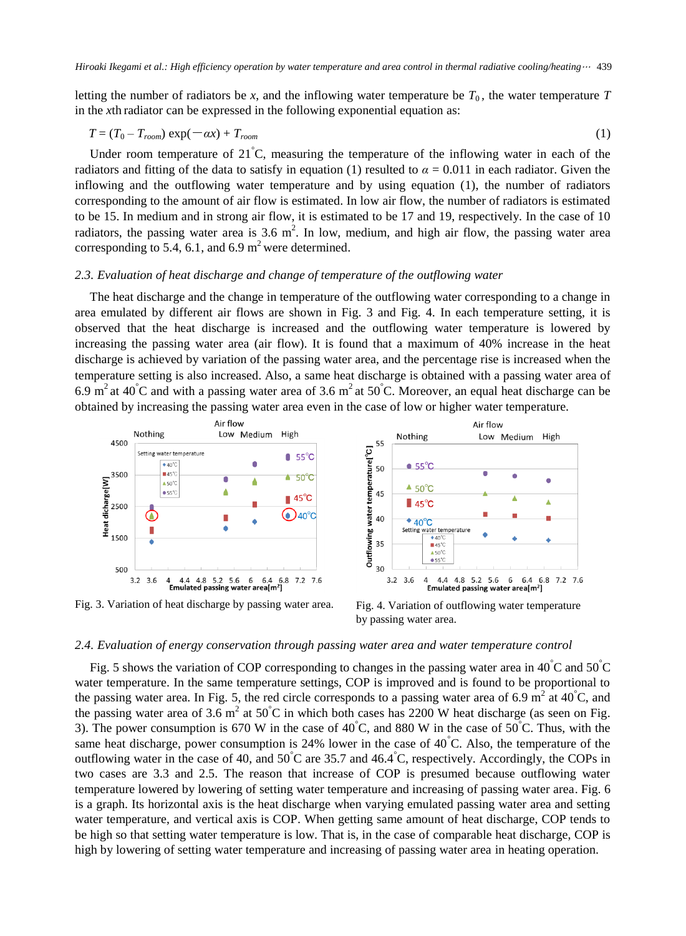letting the number of radiators be *x*, and the inflowing water temperature be  $T_0$ , the water temperature  $T$ in the *x*th radiator can be expressed in the following exponential equation as:

$$
T = (T_0 - T_{room}) \exp(-\alpha x) + T_{room} \tag{1}
$$

Under room temperature of 21 $\degree$ C, measuring the temperature of the inflowing water in each of the radiators and fitting of the data to satisfy in equation (1) resulted to  $\alpha = 0.011$  in each radiator. Given the inflowing and the outflowing water temperature and by using equation (1), the number of radiators corresponding to the amount of air flow is estimated. In low air flow, the number of radiators is estimated to be 15. In medium and in strong air flow, it is estimated to be 17 and 19, respectively. In the case of 10 radiators, the passing water area is 3.6  $m^2$ . In low, medium, and high air flow, the passing water area corresponding to 5.4, 6.1, and 6.9  $m^2$  were determined.

# *2.3. Evaluation of heat discharge and change of temperature of the outflowing water*

The heat discharge and the change in temperature of the outflowing water corresponding to a change in area emulated by different air flows are shown in Fig. 3 and Fig. 4. In each temperature setting, it is observed that the heat discharge is increased and the outflowing water temperature is lowered by increasing the passing water area (air flow). It is found that a maximum of 40% increase in the heat discharge is achieved by variation of the passing water area, and the percentage rise is increased when the temperature setting is also increased. Also, a same heat discharge is obtained with a passing water area of 6.9 m<sup>2</sup> at 40<sup>°</sup>C and with a passing water area of 3.6 m<sup>2</sup> at 50<sup>°</sup>C. Moreover, an equal heat discharge can be obtained by increasing the passing water area even in the case of low or higher water temperature.



Fig. 3. Variation of heat discharge by passing water area.

Fig. 4. Variation of outflowing water temperature by passing water area.

# *2.4. Evaluation of energy conservation through passing water area and water temperature control*

Fig. 5 shows the variation of COP corresponding to changes in the passing water area in 40  $\degree$ C and 50  $\degree$ C water temperature. In the same temperature settings, COP is improved and is found to be proportional to the passing water area. In Fig. 5, the red circle corresponds to a passing water area of 6.9 m<sup>2</sup> at 40 °C, and the passing water area of 3.6 m<sup>2</sup> at 50 °C in which both cases has 2200 W heat discharge (as seen on Fig. 3). The power consumption is 670 W in the case of 40 °C, and 880 W in the case of 50 °C. Thus, with the same heat discharge, power consumption is 24% lower in the case of 40  $\degree$ C. Also, the temperature of the outflowing water in the case of 40, and 50 $\degree$ C are 35.7 and 46.4 $\degree$ C, respectively. Accordingly, the COPs in two cases are 3.3 and 2.5. The reason that increase of COP is presumed because outflowing water temperature lowered by lowering of setting water temperature and increasing of passing water area. Fig. 6 is a graph. Its horizontal axis is the heat discharge when varying emulated passing water area and setting water temperature, and vertical axis is COP. When getting same amount of heat discharge, COP tends to be high so that setting water temperature is low. That is, in the case of comparable heat discharge, COP is high by lowering of setting water temperature and increasing of passing water area in heating operation.